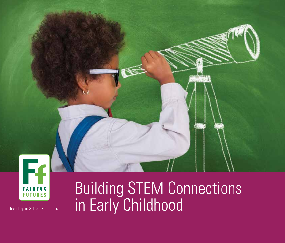

**Investing in School Readiness** 

# Building STEM Connections in Early Childhood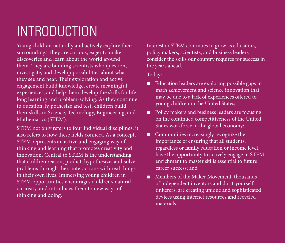# INTRODUCTION

Young children naturally and actively explore their surroundings; they are curious, eager to make discoveries and learn about the world around them. They are budding scientists who question, investigate, and develop possibilities about what they see and hear. Their exploration and active engagement build knowledge, create meaningful experiences, and help them develop the skills for lifelong learning and problem-solving. As they continue to question, hypothesize and test, children build their skills in Science, Technology, Engineering, and Mathematics (STEM).

STEM not only refers to four individual disciplines, it also refers to how these fields connect. As a concept, STEM represents an active and engaging way of thinking and learning that promotes creativity and innovation. Central to STEM is the understanding that children reason, predict, hypothesize, and solve problems through their interactions with real things in their own lives. Immersing young children in STEM opportunities encourages children's natural curiosity, and introduces them to new ways of thinking and doing.

Interest in STEM continues to grow as educators, policy makers, scientists, and business leaders consider the skills our country requires for success in the years ahead.

Today:

- $\blacksquare$  Education leaders are exploring possible gaps in math achievement and science innovation that may be due to a lack of experiences offered to young children in the United States;
- $\blacksquare$  Policy makers and business leaders are focusing on the continued competitiveness of the United States workforce in the global economy;
- $\Box$  Communities increasingly recognize the importance of ensuring that all students, regardless or family education or income level, have the opportunity to actively engage in STEM enrichment to master skills essential to future career success; and
- $\blacksquare$  Members of the Maker Movement, thousands of independent inventors and do-it-yourself tinkerers, are creating unique and sophisticated devices using internet resources and recycled materials.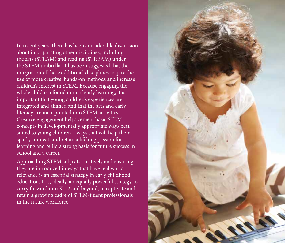In recent years, there has been considerable discussion about incorporating other disciplines, including the arts (STEAM) and reading (STREAM) under the STEM umbrella. It has been suggested that the integration of these additional disciplines inspire the use of more creative, hands-on methods and increase children's interest in STEM. Because engaging the whole child is a foundation of early learning, it is important that young children's experiences are integrated and aligned and that the arts and early literacy are incorporated into STEM activities. Creative engagement helps cement basic STEM concepts in developmentally appropriate ways best suited to young children – ways that will help them spark, connect, and retain a lifelong passion for learning and build a strong basis for future success in school and a career.

Approaching STEM subjects creatively and ensuring they are introduced in ways that have real world relevance is an essential strategy in early childhood education. It is, ideally, an equally powerful strategy to carry forward into K-12 and beyond, to captivate and retain a growing cadre of STEM-fluent professionals in the future workforce.

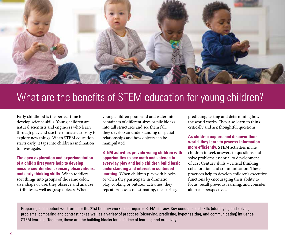

# What are the benefits of STEM education for young children?

Early childhood is the perfect time to develop science skills. Young children are natural scientists and engineers who learn through play and use their innate curiosity to explore new things. When STEM education starts early, it taps into children's inclination to investigate.

**The open exploration and experimentation of a child's first years help to develop muscle coordination, sensory observations, and early thinking skills.** When toddlers sort things into groups of the same color, size, shape or use, they observe and analyze attributes as well as grasp objects. When

young children pour sand and water into containers of different sizes or pile blocks into tall structures and see them fall, they develop an understanding of spatial relationships and how objects can be manipulated.

**STEM activities provide young children with opportunities to see math and science in everyday play and help children build basic understanding and interest in continued learning.** When children play with blocks or when they participate in dramatic play, cooking or outdoor activities, they repeat processes of estimating, measuring,

predicting, testing and determining how the world works. They also learn to think critically and ask thoughtful questions.

**As children explore and discover their world, they learn to process information more efficiently.** STEM activities invite children to seek answers to questions and solve problems essential to development of 21st Century skills – critical thinking, collaboration and communication. These practices help to develop children's executive functions by encouraging their ability to focus, recall previous learning, and consider alternate perspectives.

Preparing a competent workforce for the 21st Century workplace requires STEM literacy. Key concepts and skills (identifying and solving problems, comparing and contrasting) as well as a variety of practices (observing, predicting, hypothesizing, and communicating) influence STEM learning. Together, these are the building blocks for a lifetime of learning and creativity.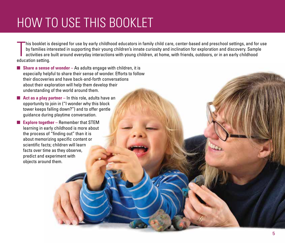# HOW TO USE THIS BOOKLET

his booklet is<br>by families in<br>activities are<br>education setting. his booklet is designed for use by early childhood educators in family child care, center-based and preschool settings, and for use by families interested in supporting their young children's innate curiosity and inclination for exploration and discovery. Sample activities are built around everyday interactions with young children, at home, with friends, outdoors, or in an early childhood

■ **Share a sense of wonder** – As adults engage with children, it is especially helpful to share their sense of wonder. Efforts to follow their discoveries and have back-and-forth conversations about their exploration will help them develop their understanding of the world around them.

■ **Act as a play partner** – In this role, adults have an opportunity to join in ("I wonder why this block tower keeps falling down?") and to offer gentle guidance during playtime conversation.

■ **Explore together** – Remember that STEM learning in early childhood is more about the process of "finding out" than it is about memorizing specific content or scientific facts; children will learn facts over time as they observe, predict and experiment with objects around them.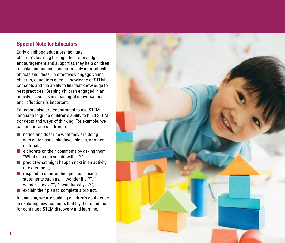### **Special Note for Educators**

Early childhood educators facilitate children's learning through their knowledge, encouragement and support as they help children to make connections and creatively interact with objects and ideas. To effectively engage young children, educators need a knowledge of STEM concepts and the ability to link that knowledge to best practices. Keeping children engaged in an activity as well as in meaningful conversations and reflections is important.

Educators also are encouraged to use STEM language to guide children's ability to build STEM concepts and ways of thinking. For example, we can encourage children to:

- $\blacksquare$  notice and describe what they are doing with water, sand, shadows, blocks, or other materials;
- $\blacksquare$  elaborate on their comments by asking them, "What else can you do with…?"
- $\blacksquare$  predict what might happen next in an activity or experiment;
- respond to open-ended questions using statements such as, "I wonder if…?", "I wonder how…?", "I wonder why…?";
- explain their plan to complete a project.

In doing so, we are building children's confidence in exploring new concepts that lay the foundation for continued STEM discovery and learning.

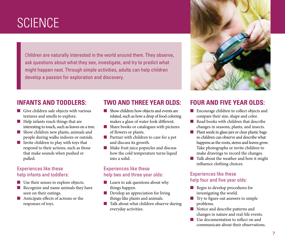# **SCIENCE**

Children are naturally interested in the world around them. They observe, ask questions about what they see, investigate, and try to predict what might happen next. Through simple activities, adults can help children develop a passion for exploration and discovery.

# **INFANTS AND TODDLERS:**

- Give children safe objects with various textures and smells to explore.
- Help infants reach things that are interesting to touch, such as leaves on a tree.
- Show children new plants, animals and people during walks indoors or outside.
- Invite children to play with toys that respond to their actions, such as those that make sounds when pushed or pulled.

### Experiences like these help infants and toddlers:

- Use their senses to explore objects.
- Recognize and name animals they have seen on their outings.
- Anticipate effects of actions or the responses of toys.

### **TWO AND THREE YEAR OLDS:**

- Show children how objects and events are related, such as how a drop of food coloring makes a glass of water look different.
- Share books or catalogues with pictures of flowers or plants.
- Partner with children to care for a pet and discuss its growth.
- Make fruit juice popsicles and discuss how the cold temperature turns liquid into a solid.

### Experiences like these help two and three year olds:

- Learn to ask questions about why things happen.
- Develop an appreciation for living things like plants and animals.
- Talk about what children observe during everyday activities.

### **FOUR AND FIVE YEAR OLDS:**

- Encourage children to collect objects and compare their size, shape and color.
- Read books with children that describe changes in seasons, plants, and insects.
- Plant seeds in glass jars or clear plastic bags so children can observe and describe what happens as the roots, stems and leaves grow. Take photographs or invite children to make drawings to record the changes.
- Talk about the weather and how it might influence clothing choices.

### Experiences like these help four and five year olds:

- Begin to develop procedures for investigating the world.
- Try to figure out answers to simple problems.
- Notice and describe patterns and changes in nature and real-life events.
- Use documentation to reflect on and communicate about their observations.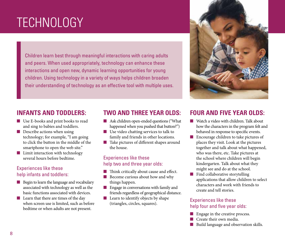# X TECHNOLOGY

Children learn best through meaningful interactions with caring adults and peers. When used appropriately, technology can enhance these interactions and open new, dynamic learning opportunities for young children. Using technology in a variety of ways helps children broaden their understanding of technology as an effective tool with multiple uses.

### **INFANTS AND TODDLERS:**

- Use E-books and print books to read and sing to babies and toddlers.
- Describe actions when using technology; for example, "I am going to click the button in the middle of the smartphone to open the web site."
- Limit interaction with technology several hours before bedtime.

#### Experiences like these help infants and toddlers:

- Begin to learn the language and vocabulary associated with technology as well as the basic functions associated with devices.
- Learn that there are times of the day when screen use is limited, such as before bedtime or when adults are not present.

### **TWO AND THREE YEAR OLDS:**

- Ask children open-ended questions ("What happened when you pushed that button?")
- Use video chatting services to talk to family and friends in other locations.
- Take pictures of different shapes around the house.

#### Experiences like these help two and three year olds:

- Think critically about cause and effect.
- Become curious about how and why things happen.
- Engage in conversations with family and friends regardless of geographical distance.
- Learn to identify objects by shape (triangles, circles, squares).

### **FOUR AND FIVE YEAR OLDS:**

- Watch a video with children. Talk about how the characters in the program felt and behaved in response to specific events.
- Encourage children to take pictures of places they visit. Look at the pictures together and talk about what happened, who was there, etc. Take pictures at the school where children will begin kindergarten. Talk about what they might see and do at the school.
- Find collaborative storytelling applications that allow children to select characters and work with friends to create and tell stories.

#### Experiences like these help four and five year olds:

- Engage in the creative process.
- Create their own media.
- Build language and observation skills.

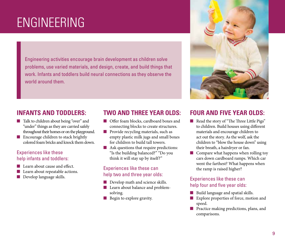# **ENGINEERING**

Engineering activities encourage brain development as children solve problems, use varied materials, and design, create, and build things that work. Infants and toddlers build neural connections as they observe the world around them.

# **INFANTS AND TODDLERS:**

- Talk to children about being "over" and "under" things as they are carried safely throughout their homes or on the playground.
- Encourage children to stack brightly colored foam bricks and knock them down.

#### Experiences like these help infants and toddlers:

- Learn about cause and effect.
- Learn about repeatable actions.
- Develop language skills.

# **TWO AND THREE YEAR OLDS:**

- Offer foam blocks, cardboard boxes and connecting blocks to create structures.
- Provide recycling materials, such as empty plastic milk jugs and small boxes for children to build tall towers.
- Ask questions that require predictions: "Is the building balanced?" "Do you think it will stay up by itself?"

#### Experiences like these can help two and three year olds:

- Develop math and science skills.
- Learn about balance and problemsolving.
- Begin to explore gravity.

### **FOUR AND FIVE YEAR OLDS:**

- Read the story of "The Three Little Pigs" to children. Build houses using different materials and encourage children to act out the story. As the wolf, ask the children to "blow the house down" using their breath, a hairdryer or fan.
- Compare what happens when rolling toy cars down cardboard ramps. Which car went the farthest? What happens when the ramp is raised higher?

### Experiences like these can help four and five year olds:

- Build language and spatial skills.
- Explore properties of force, motion and speed.
- Practice making predictions, plans, and comparisons.

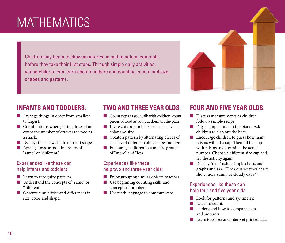# **MATHEMATICS**

Children may begin to show an interest in mathematical concepts before they take their first steps. Through simple daily activities, young children can learn about numbers and counting, space and size, shapes and patterns.



### **INFANTS AND TODDLERS:**

- Arrange things in order from smallest to largest.
- Count buttons when getting dressed or count the number of crackers served as a snack.
- Use toys that allow children to sort shapes.
- Arrange toys or food in groups of "same" or "different."

### Experiences like these can help infants and toddlers:

- Learn to recognize patterns.
- Understand the concepts of "same" or "different."
- Observe similarities and differences in size, color and shape.

### **TWO AND THREE YEAR OLDS:**

- Count steps as you walk with children; count pieces of food as you put them on the plate.
- Invite children to help sort socks by color and size.
- Create a pattern by alternating pieces of art clay of different color, shape and size.
- Encourage children to compare groups of "more" and "less."

#### Experiences like these help two and three year olds:

- Enjoy grouping similar objects together.
- Use beginning counting skills and concepts of number.
- Use math language to communicate.

### **FOUR AND FIVE YEAR OLDS:**

- Discuss measurements as children follow a simple recipe.
- Play a simple tune on the piano. Ask children to clap out the beat.
- Encourage children to guess how many raisins will fill a cup. Then fill the cup with raisins to determine the actual number. Choose a different size cup and try the activity again.
- Display "data" using simple charts and graphs and ask, "Does our weather chart show more sunny or cloudy days?"

### Experiences like these can help four and five year olds:

- Look for patterns and symmetry.
- Learn to count.
- Understand how to compare sizes and amounts.
- Learn to collect and interpret printed data.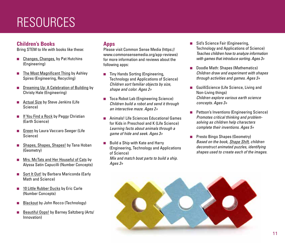# **RESOURCES**

### **Children's Books**

Bring STEM to life with books like these:

- Changes, Changes, by Pat Hutchins (Engineering)
- The Most Magnificent Thing by Ashley Spires (Engineering, Recycling)
- **Dreaming Up: A Celebration of Building by** Christy Hale (Engineering)
- Actual Size by Steve Jenkins (Life Science)
- If You Find a Rock by Peggy Christian (Earth Science)
- Green by Laura Vaccaro Seeger (Life Science)
- Shapes, Shapes, Shapes! by Tana Hoban (Geometry)
- Mrs. McTats and Her Houseful of Cats by Alyssa Satin Capucilli (Number Concepts)
- Sort It Out! by Barbara Mariconda (Early Math and Science)
- 10 Little Rubber Ducks by Eric Carle (Number Concepts)
- **Blackout by John Rocco (Technology)**
- Beautiful Oops! by Barney Saltzberg (Arts/ Innovation)

#### **Apps**

Please visit Common Sense Media (https:// www.commonsensemedia.org/app-reviews) for more information and reviews about the following apps:

- Tiny Hands Sorting (Engineering, Technology and Applications of Science) *Children sort familiar objects by size, shape and color. Ages 2+*
- Toca Robot Lab (Engineering Science) *Children build a robot and send it through an interactive maze. Ages 2+*
- Animals! Life Sciences Educational Games for Kids in Preschool and K (Life Science) *Learning facts about animals through a game of hide and seek. Ages 3+*
- Build a Ship with Kate and Harry (Engineering, Technology and Applications of Science) *Mix and match boat parts to build a ship. Ages 3+*
- Sid's Science Fair (Engineering, Technology and Applications of Science) *Teaches children how to analyze information with games that introduce sorting. Ages 3+*
- Doodle Math: Shapes (Mathematics) *Children draw and experiment with shapes through activities and games. Ages 3+*
- GazilliScience (Life Science, Living and Non-Living things) *Children explore various earth science concepts. Ages 3+*
- Pettson's Inventions (Engineering Science) *Promotes critical thinking and problemsolving as children help characters complete their inventions. Ages 5+*
- Presto Bingo Shapes (Geometry) *Based on the book, Shape Shift, children deconstruct animated puzzles, identifying shapes used to create each of the images.*